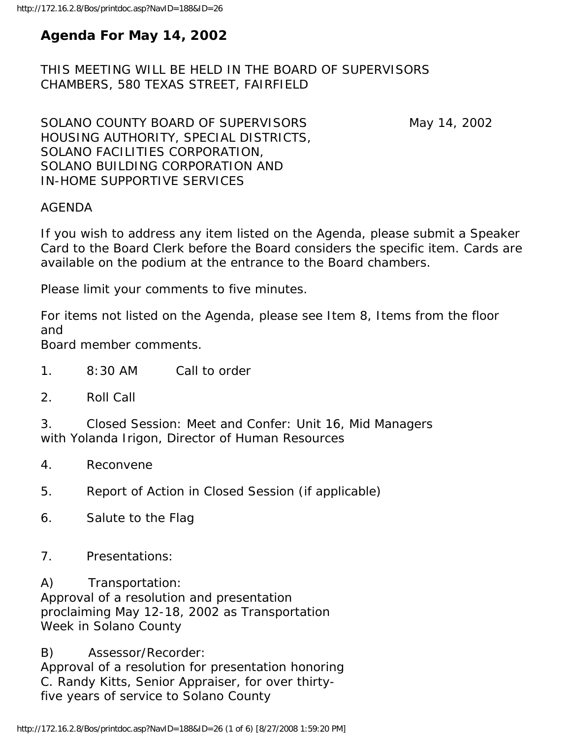# **Agenda For May 14, 2002**

THIS MEETING WILL BE HELD IN THE BOARD OF SUPERVISORS CHAMBERS, 580 TEXAS STREET, FAIRFIELD

SOLANO COUNTY BOARD OF SUPERVISORS May 14, 2002 HOUSING AUTHORITY, SPECIAL DISTRICTS, SOLANO FACILITIES CORPORATION, SOLANO BUILDING CORPORATION AND IN-HOME SUPPORTIVE SERVICES

#### AGENDA

If you wish to address any item listed on the Agenda, please submit a Speaker Card to the Board Clerk before the Board considers the specific item. Cards are available on the podium at the entrance to the Board chambers.

Please limit your comments to five minutes.

For items not listed on the Agenda, please see Item 8, Items from the floor and

Board member comments.

- 1. 8:30 AM Call to order
- 2. Roll Call

3. Closed Session: Meet and Confer: Unit 16, Mid Managers with Yolanda Irigon, Director of Human Resources

- 4. Reconvene
- 5. Report of Action in Closed Session (if applicable)
- 6. Salute to the Flag
- 7. Presentations:

A) Transportation:

Approval of a resolution and presentation proclaiming May 12-18, 2002 as Transportation Week in Solano County

B) Assessor/Recorder: Approval of a resolution for presentation honoring C. Randy Kitts, Senior Appraiser, for over thirtyfive years of service to Solano County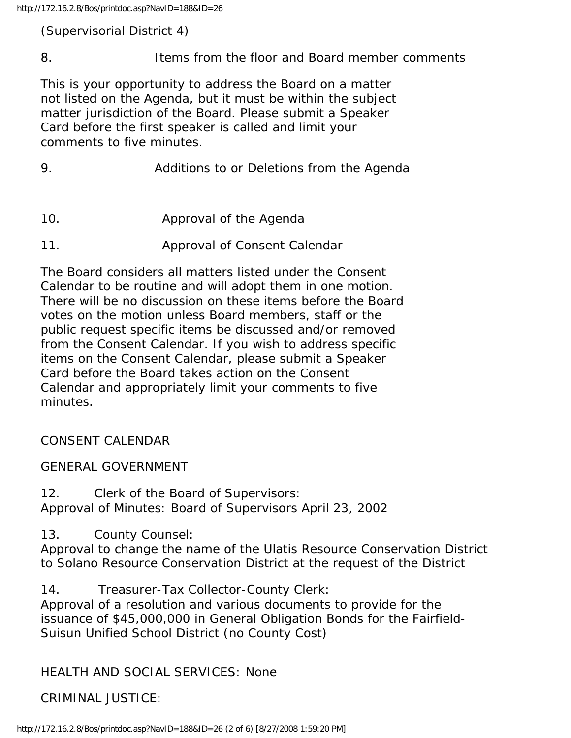(Supervisorial District 4)

8. Items from the floor and Board member comments

This is your opportunity to address the Board on a matter not listed on the Agenda, but it must be within the subject matter jurisdiction of the Board. Please submit a Speaker Card before the first speaker is called and limit your comments to five minutes.

- 9. Additions to or Deletions from the Agenda
- 10. Approval of the Agenda
- 11. Approval of Consent Calendar

The Board considers all matters listed under the Consent Calendar to be routine and will adopt them in one motion. There will be no discussion on these items before the Board votes on the motion unless Board members, staff or the public request specific items be discussed and/or removed from the Consent Calendar. If you wish to address specific items on the Consent Calendar, please submit a Speaker Card before the Board takes action on the Consent Calendar and appropriately limit your comments to five minutes.

### CONSENT CALENDAR

### GENERAL GOVERNMENT

12. Clerk of the Board of Supervisors: Approval of Minutes: Board of Supervisors April 23, 2002

13. County Counsel:

Approval to change the name of the Ulatis Resource Conservation District to Solano Resource Conservation District at the request of the District

14. Treasurer-Tax Collector-County Clerk:

Approval of a resolution and various documents to provide for the issuance of \$45,000,000 in General Obligation Bonds for the Fairfield-Suisun Unified School District (no County Cost)

### HEALTH AND SOCIAL SERVICES: None

## CRIMINAL JUSTICE: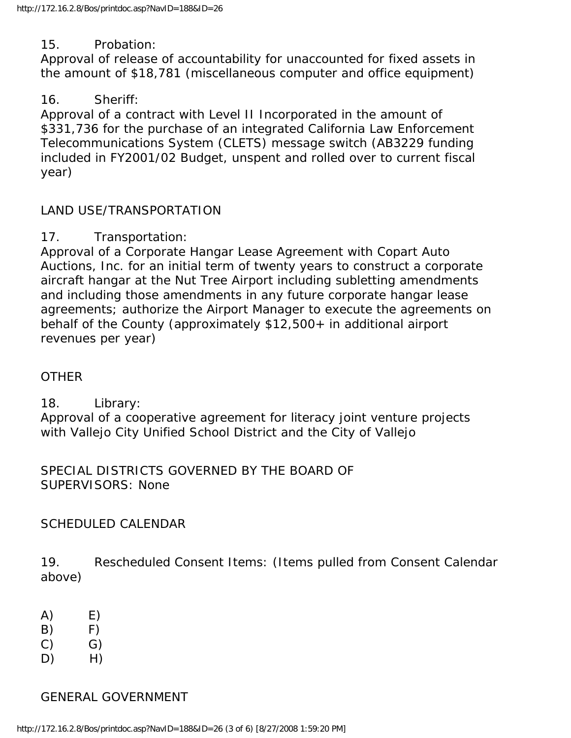#### 15. Probation:

Approval of release of accountability for unaccounted for fixed assets in the amount of \$18,781 (miscellaneous computer and office equipment)

#### 16. Sheriff:

Approval of a contract with Level II Incorporated in the amount of \$331,736 for the purchase of an integrated California Law Enforcement Telecommunications System (CLETS) message switch (AB3229 funding included in FY2001/02 Budget, unspent and rolled over to current fiscal year)

#### LAND USE/TRANSPORTATION

#### 17. Transportation:

Approval of a Corporate Hangar Lease Agreement with Copart Auto Auctions, Inc. for an initial term of twenty years to construct a corporate aircraft hangar at the Nut Tree Airport including subletting amendments and including those amendments in any future corporate hangar lease agreements; authorize the Airport Manager to execute the agreements on behalf of the County (approximately \$12,500+ in additional airport revenues per year)

#### **OTHER**

18. Library:

Approval of a cooperative agreement for literacy joint venture projects with Vallejo City Unified School District and the City of Vallejo

SPECIAL DISTRICTS GOVERNED BY THE BOARD OF SUPERVISORS: None

#### SCHEDULED CALENDAR

19. Rescheduled Consent Items: (Items pulled from Consent Calendar above)

- $(A)$  E)
- $(B)$  F)
- C) G)
- D) H)

#### GENERAL GOVERNMENT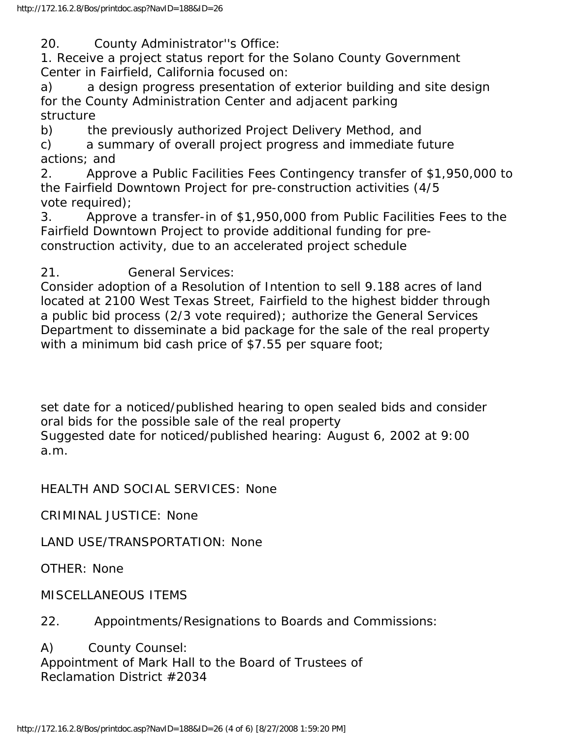20. County Administrator''s Office:

1. Receive a project status report for the Solano County Government Center in Fairfield, California focused on:

a) a design progress presentation of exterior building and site design for the County Administration Center and adjacent parking structure

b) the previously authorized Project Delivery Method, and

c) a summary of overall project progress and immediate future actions; and

2. Approve a Public Facilities Fees Contingency transfer of \$1,950,000 to the Fairfield Downtown Project for pre-construction activities (4/5 vote required);

3. Approve a transfer-in of \$1,950,000 from Public Facilities Fees to the Fairfield Downtown Project to provide additional funding for preconstruction activity, due to an accelerated project schedule

21. General Services:

Consider adoption of a Resolution of Intention to sell 9.188 acres of land located at 2100 West Texas Street, Fairfield to the highest bidder through a public bid process (2/3 vote required); authorize the General Services Department to disseminate a bid package for the sale of the real property with a minimum bid cash price of \$7.55 per square foot;

set date for a noticed/published hearing to open sealed bids and consider oral bids for the possible sale of the real property Suggested date for noticed/published hearing: August 6, 2002 at 9:00 a.m.

HEALTH AND SOCIAL SERVICES: None

CRIMINAL JUSTICE: None

LAND USE/TRANSPORTATION: None

OTHER: None

MISCELLANEOUS ITEMS

22. Appointments/Resignations to Boards and Commissions:

A) County Counsel: Appointment of Mark Hall to the Board of Trustees of Reclamation District #2034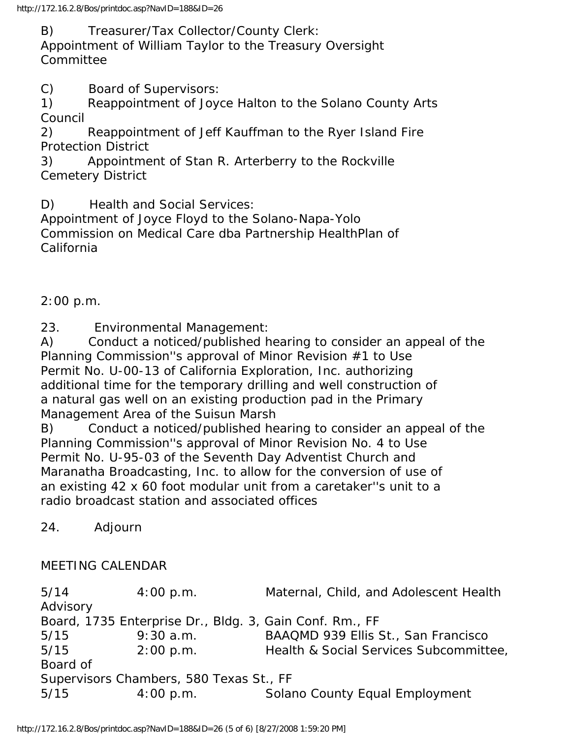B) Treasurer/Tax Collector/County Clerk:

Appointment of William Taylor to the Treasury Oversight Committee

C) Board of Supervisors:

1) Reappointment of Joyce Halton to the Solano County Arts Council

2) Reappointment of Jeff Kauffman to the Ryer Island Fire Protection District

3) Appointment of Stan R. Arterberry to the Rockville Cemetery District

D) Health and Social Services:

Appointment of Joyce Floyd to the Solano-Napa-Yolo Commission on Medical Care dba Partnership HealthPlan of California

2:00 p.m.

23. Environmental Management:

A) Conduct a noticed/published hearing to consider an appeal of the Planning Commission''s approval of Minor Revision #1 to Use Permit No. U-00-13 of California Exploration, Inc. authorizing additional time for the temporary drilling and well construction of a natural gas well on an existing production pad in the Primary Management Area of the Suisun Marsh

B) Conduct a noticed/published hearing to consider an appeal of the Planning Commission''s approval of Minor Revision No. 4 to Use Permit No. U-95-03 of the Seventh Day Adventist Church and Maranatha Broadcasting, Inc. to allow for the conversion of use of an existing 42 x 60 foot modular unit from a caretaker''s unit to a radio broadcast station and associated offices

24. Adjourn

### MEETING CALENDAR

5/14 4:00 p.m. Maternal, Child, and Adolescent Health Advisory Board, 1735 Enterprise Dr., Bldg. 3, Gain Conf. Rm., FF 5/15 9:30 a.m. BAAQMD 939 Ellis St., San Francisco 5/15 2:00 p.m. Health & Social Services Subcommittee, Board of Supervisors Chambers, 580 Texas St., FF 5/15 4:00 p.m. Solano County Equal Employment